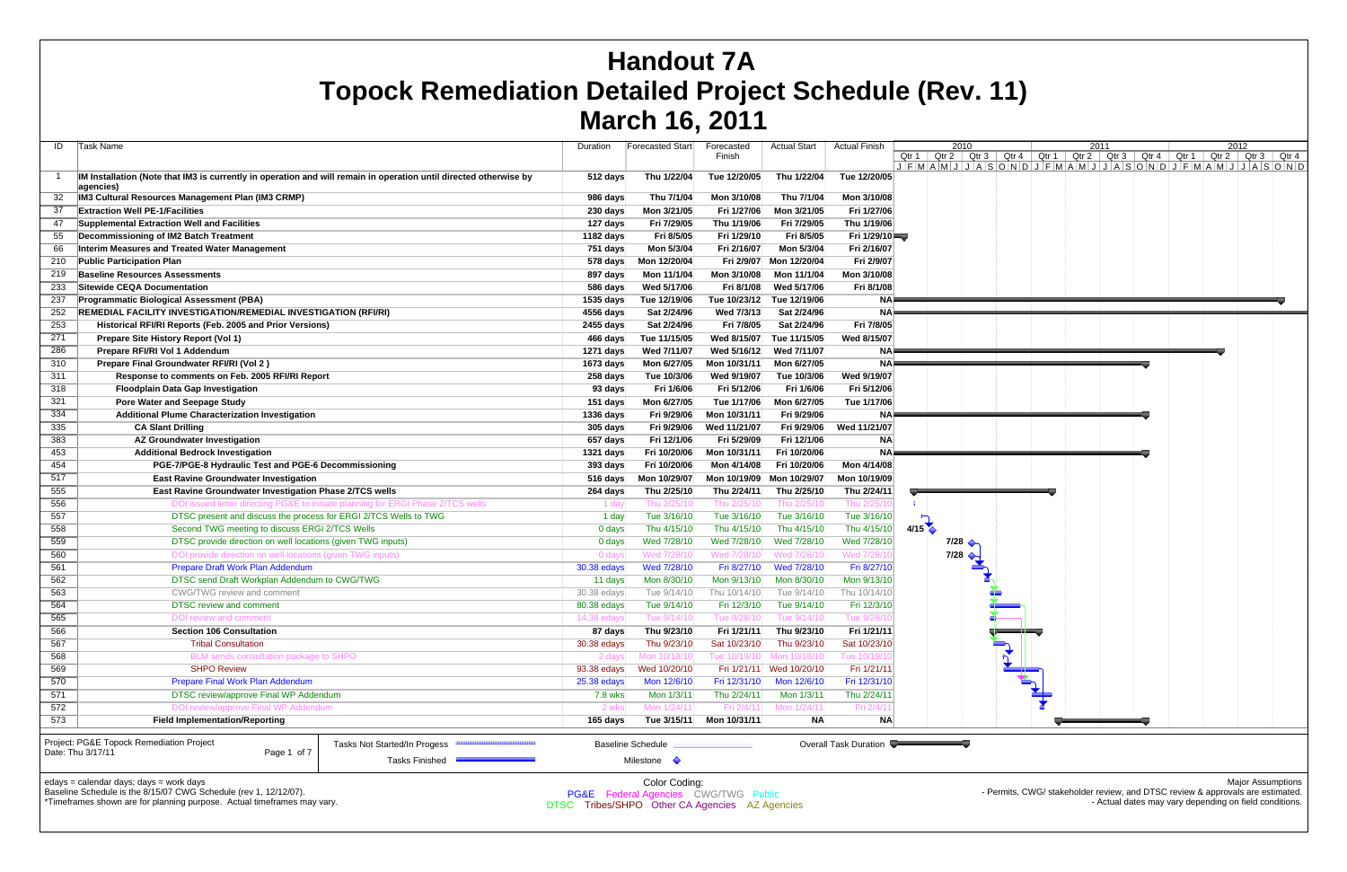$\mathsf{A}\mathsf{B}\mathsf{B}$  schedule is the 8/15/07 CWG Schedule (rev 1, 12/12/07). \*Timeframes shown are for planning purpose. Actual timeframes may vary. Permits, CWG/ stakeholder review, and DTSC review & approvals are e - Actual dates may vary depending on field conditions.

| ID         | Task Name                                                                                                         | Duration              | Forecasted Start         | Forecasted            | <b>Actual Start</b>       | <b>Actual Finish</b>  | 2010<br>2011<br>2012                                                                                                                            |
|------------|-------------------------------------------------------------------------------------------------------------------|-----------------------|--------------------------|-----------------------|---------------------------|-----------------------|-------------------------------------------------------------------------------------------------------------------------------------------------|
|            |                                                                                                                   |                       |                          | Finish                |                           |                       | Qtr 1   Qtr 2   Qtr 3   Qtr 4   Qtr 1   Qtr 2   Qtr 3   Qtr 4   Qtr 1   Qtr 2   Qtr 3   Qtr 4                                                   |
|            | IM Installation (Note that IM3 is currently in operation and will remain in operation until directed otherwise by | 512 days              | Thu 1/22/04              | Tue 12/20/05          | Thu 1/22/04               | Tue 12/20/05          | $J$ $F$ $M$ $A$ $M$ $J$ $J$ $A$ $S$ $O$ $N$ $D$ $J$ $F$ $M$ $A$ $M$ $J$ $J$ $A$ $S$ $O$ $N$ $D$ $J$ $F$ $M$ $A$ $M$ $J$ $J$ $A$ $S$ $O$ $N$ $D$ |
|            | agencies)                                                                                                         |                       |                          |                       |                           |                       |                                                                                                                                                 |
|            | IM3 Cultural Resources Management Plan (IM3 CRMP)                                                                 | 986 days              | Thu 7/1/04               | Mon 3/10/08           | Thu 7/1/04                | Mon 3/10/08           |                                                                                                                                                 |
|            | <b>Extraction Well PE-1/Facilities</b>                                                                            | 230 days              | Mon 3/21/05              | Fri 1/27/06           | Mon 3/21/05               | Fri 1/27/06           |                                                                                                                                                 |
| 47         | Supplemental Extraction Well and Facilities                                                                       | 127 days              | Fri 7/29/05              | Thu 1/19/06           | Fri 7/29/05               | Thu 1/19/06           |                                                                                                                                                 |
| 55         | Decommissioning of IM2 Batch Treatment                                                                            | 1182 days             | Fri 8/5/05               | Fri 1/29/10           | Fri 8/5/05                | Fri $1/29/10$         |                                                                                                                                                 |
| 66         | Interim Measures and Treated Water Management                                                                     | 751 days              | Mon 5/3/04               | Fri 2/16/07           | Mon 5/3/04                | Fri 2/16/07           |                                                                                                                                                 |
| 210        | <b>Public Participation Plan</b>                                                                                  | 578 days              | Mon 12/20/04             | Fri 2/9/07            | Mon 12/20/04              | Fri 2/9/07            |                                                                                                                                                 |
| 219        | <b>Baseline Resources Assessments</b>                                                                             | 897 days              | Mon 11/1/04              | Mon 3/10/08           | Mon 11/1/04               | Mon 3/10/08           |                                                                                                                                                 |
| 233        | Sitewide CEQA Documentation                                                                                       | 586 days              | Wed 5/17/06              | Fri 8/1/08            | Wed 5/17/06               | Fri 8/1/08            |                                                                                                                                                 |
| 237        | <b>Programmatic Biological Assessment (PBA)</b>                                                                   | 1535 days             | Tue 12/19/06             | Tue 10/23/12 <b>M</b> | Tue 12/19/06              | <b>NA</b>             |                                                                                                                                                 |
| 252        | <b>REMEDIAL FACILITY INVESTIGATION/REMEDIAL INVESTIGATION (RFI/RI)</b>                                            | 4556 days             | Sat 2/24/96              | Wed 7/3/13            | Sat 2/24/96               | <b>NA</b>             |                                                                                                                                                 |
| 253        | Historical RFI/RI Reports (Feb. 2005 and Prior Versions)                                                          | 2455 days             | Sat 2/24/96              | Fri 7/8/05            | Sat 2/24/96               | Fri 7/8/05            |                                                                                                                                                 |
| 271        | Prepare Site History Report (Vol 1)                                                                               | 466 days              | Tue 11/15/05             | Wed 8/15/07           | Tue 11/15/05              | Wed 8/15/07           |                                                                                                                                                 |
| 286        | Prepare RFI/RI Vol 1 Addendum                                                                                     | 1271 days             | Wed 7/11/07              | Wed 5/16/12           | Wed 7/11/07               | <b>NA</b>             |                                                                                                                                                 |
| 310        | Prepare Final Groundwater RFI/RI (Vol 2)                                                                          | 1673 days             | Mon 6/27/05              | Mon 10/31/11          | Mon 6/27/05               | <b>NA</b>             |                                                                                                                                                 |
| 311        | Response to comments on Feb. 2005 RFI/RI Report                                                                   | 258 days              | Tue 10/3/06              | Wed 9/19/07           | Tue 10/3/06               | Wed 9/19/07           |                                                                                                                                                 |
| 318        | <b>Floodplain Data Gap Investigation</b>                                                                          | 93 days               | Fri 1/6/06               | Fri 5/12/06           | Fri 1/6/06                | Fri 5/12/06           |                                                                                                                                                 |
| 321        | <b>Pore Water and Seepage Study</b>                                                                               | 151 days              | Mon 6/27/05              | Tue 1/17/06           | Mon 6/27/05               | Tue 1/17/06           |                                                                                                                                                 |
| 334        | <b>Additional Plume Characterization Investigation</b>                                                            | 1336 days             | Fri 9/29/06              | Mon 10/31/11          | Fri 9/29/06               |                       |                                                                                                                                                 |
| 335        | <b>CA Slant Drilling</b>                                                                                          | 305 days              | Fri 9/29/06              | Wed 11/21/07          | Fri 9/29/06               | Wed 11/21/07          |                                                                                                                                                 |
| 383        | <b>AZ Groundwater Investigation</b>                                                                               | 657 days              | Fri 12/1/06              | Fri 5/29/09           | Fri 12/1/06               | <b>NA</b>             |                                                                                                                                                 |
| 453        | <b>Additional Bedrock Investigation</b>                                                                           | 1321 days             | Fri 10/20/06             | Mon 10/31/11          | Fri 10/20/06              | <b>NA</b>             |                                                                                                                                                 |
| 454        | PGE-7/PGE-8 Hydraulic Test and PGE-6 Decommissioning                                                              | 393 days              | Fri 10/20/06             | Mon 4/14/08           | Fri 10/20/06              | Mon 4/14/08           |                                                                                                                                                 |
| 517        | <b>East Ravine Groundwater Investigation</b>                                                                      | 516 days              | Mon 10/29/07             |                       | Mon 10/19/09 Mon 10/29/07 | Mon 10/19/09          |                                                                                                                                                 |
| 555        | <b>East Ravine Groundwater Investigation Phase 2/TCS wells</b>                                                    | 264 days              | Thu 2/25/10              | Thu 2/24/11           | Thu 2/25/10               | Thu 2/24/11           |                                                                                                                                                 |
| 556        | DOI issued letter directing PG&E to initiate planning for ERGI Phase 2/TCS wells                                  | 1 day                 | Thu 2/25/10              | Thu 2/25/             | Thu 2/25/1                | Thu 2/25/             |                                                                                                                                                 |
| 557        | DTSC present and discuss the process for ERGI 2/TCS Wells to TWG                                                  | 1 day                 | Tue 3/16/10              | Tue 3/16/10           | Tue 3/16/10               | Tue 3/16/10           |                                                                                                                                                 |
| 558        | Second TWG meeting to discuss ERGI 2/TCS Wells                                                                    | 0 days                | Thu 4/15/10              | Thu 4/15/10           | Thu 4/15/10               | Thu 4/15/10           | 4/15                                                                                                                                            |
| 559        | DTSC provide direction on well locations (given TWG inputs)                                                       | 0 days                | Wed 7/28/10              | Wed 7/28/10           | Wed 7/28/10               | Wed 7/28/10           | $7/28$ $\leftrightarrow$                                                                                                                        |
| 560        | DOI provide direction on well locations (given TWG inputs)                                                        | 0 days                | Wed 7/28/10              | Wed 7/28/1            | Wed 7/28/1                | Wed 7/28/1            | 7/28                                                                                                                                            |
| 561        | Prepare Draft Work Plan Addendum                                                                                  | 30.38 edays           | Wed 7/28/10              | Fri 8/27/10           | Wed 7/28/10               | Fri 8/27/10           |                                                                                                                                                 |
| 562        | DTSC send Draft Workplan Addendum to CWG/TWG                                                                      | 11 days               | Mon 8/30/10              | Mon 9/13/10           | Mon 8/30/10               | Mon 9/13/10           |                                                                                                                                                 |
| 563        | CWG/TWG review and comment                                                                                        | $30.38$ edays         | Tue 9/14/10              | Thu 10/14/10          | Tue 9/14/10               | Thu 10/14/1           |                                                                                                                                                 |
| 564        | <b>DTSC</b> review and comment                                                                                    | 80.38 edays           | Tue 9/14/10              | Fri 12/3/10           | Tue 9/14/10               | Fri 12/3/10           |                                                                                                                                                 |
| 565        | DOI review and comment                                                                                            | 14.38 edays           | Tue 9/14/10              | Tue 9/28/             | Tue 9/14/1                | Tue 9/28              |                                                                                                                                                 |
| 566        | <b>Section 106 Consultation</b>                                                                                   | 87 days               | Thu 9/23/10              | Fri 1/21/11           | Thu 9/23/10               | Fri 1/21/11           |                                                                                                                                                 |
|            | <b>Tribal Consultation</b>                                                                                        |                       | Thu 9/23/10              | Sat 10/23/10          | Thu 9/23/10               | Sat 10/23/10          |                                                                                                                                                 |
| 567<br>568 | BLM sends consultation package to SHPO                                                                            | 30.38 edays<br>2 days | Mon 10/18/10             | Tue 10/19/10          | Mon 10/18/10              | Tue 10/19/1           |                                                                                                                                                 |
| 569        | <b>SHPO Review</b>                                                                                                |                       |                          |                       |                           |                       |                                                                                                                                                 |
|            |                                                                                                                   | 93.38 edays           | Wed 10/20/10             |                       | Fri 1/21/11 Wed 10/20/10  | Fri 1/21/11           |                                                                                                                                                 |
| 570        | Prepare Final Work Plan Addendum                                                                                  | 25.38 edays           | Mon 12/6/10              | Fri 12/31/10          | Mon 12/6/10               | Fri 12/31/10          |                                                                                                                                                 |
| 571        | DTSC review/approve Final WP Addendum                                                                             | 7.8 wks               | Mon 1/3/11               | Thu 2/24/11           | Mon 1/3/11                | Thu 2/24/11           |                                                                                                                                                 |
| 572        | DOI review/approve Final WP Addendum                                                                              | 2 wks                 | Mon 1/24/11              | Fri 2/4/11            | Mon 1/24/11               | Fri 2/4/1             |                                                                                                                                                 |
| 573        | <b>Field Implementation/Reporting</b>                                                                             | 165 days              | Tue 3/15/11              | Mon 10/31/11          | <b>NA</b>                 | <b>NA</b>             |                                                                                                                                                 |
|            | Project: PG&E Topock Remediation Project<br>Tasks Not Started/In Progess                                          |                       | <b>Baseline Schedule</b> |                       |                           | Overall Task Duration |                                                                                                                                                 |
|            | Date: Thu 3/17/11<br>Page 1 of 7                                                                                  |                       |                          |                       |                           |                       |                                                                                                                                                 |
|            | Tasks Finished                                                                                                    |                       | Milestone $\Diamond$     |                       |                           |                       |                                                                                                                                                 |
|            | edays = calendar days; days = work days                                                                           |                       | Color Coding:            |                       |                           |                       | <b>Major Assumptions</b>                                                                                                                        |
|            | Baseline Schedule is the 8/15/07 CWG Schedule (rev. 1 12/12/07)                                                   | <b>DOOF</b>           |                          |                       |                           |                       | Permits, CWG/stakeholder review and DTSC review & approvals are estimated                                                                       |

# **Handout 7A Topock Remediation Detailed Project Schedule (Rev. 11) March 16, 2011**

PG&E Federal Agencies CWG/TWG Public DTSC Tribes/SHPO Other CA Agencies AZ Agencies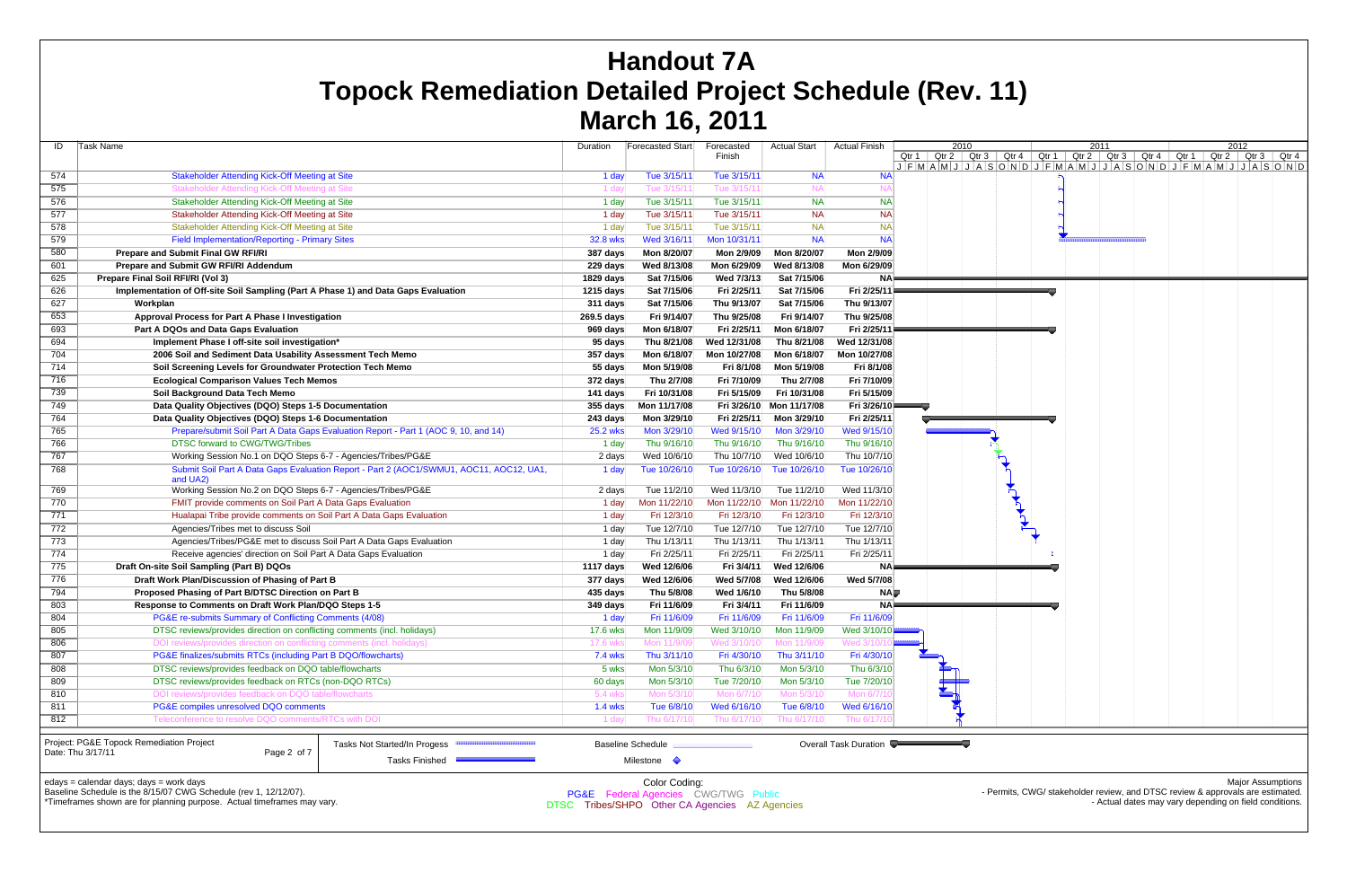| ID  | Task Name                                                                              | Duration        | Forecasted Start         | Forecasted<br>Finish | <b>Actual Start</b>      | <b>Actual Finish</b>  | 2010<br>Qtr 1   Qtr 2   Qtr 3   Qtr 4   Qtr 1   Qtr 2   Qtr 3   Qtr 4   Qtr 1   Qtr 2   Qtr 3   Qtr 4                           | 2011 | 2012                     |  |
|-----|----------------------------------------------------------------------------------------|-----------------|--------------------------|----------------------|--------------------------|-----------------------|---------------------------------------------------------------------------------------------------------------------------------|------|--------------------------|--|
|     |                                                                                        |                 |                          |                      |                          |                       | $J$ $F$ $M$ $A$ $S$ $O$ $N$ $D$ $J$ $F$ $M$ $A$ $M$ $J$ $J$ $A$ $S$ $O$ $N$ $D$ $J$ $F$ $M$ $A$ $M$ $J$ $J$ $A$ $S$ $O$ $N$ $D$ |      |                          |  |
| 574 | <b>Stakeholder Attending Kick-Off Meeting at Site</b>                                  | 1 day           | Tue 3/15/11              | Tue 3/15/11          | <b>NA</b>                | <b>NA</b>             |                                                                                                                                 |      |                          |  |
| 575 | Stakeholder Attending Kick-Off Meeting at Site                                         | ่ 1 daง         | Tue 3/15/11              | Tue 3/15/1           |                          |                       |                                                                                                                                 |      |                          |  |
| 576 | Stakeholder Attending Kick-Off Meeting at Site                                         | 1 day           | Tue 3/15/11              | Tue 3/15/11          | <b>NA</b>                | <b>NA</b>             |                                                                                                                                 |      |                          |  |
| 577 | Stakeholder Attending Kick-Off Meeting at Site                                         | 1 day           | Tue 3/15/11              | Tue 3/15/11          | <b>NA</b>                | <b>NA</b>             |                                                                                                                                 |      |                          |  |
| 578 | Stakeholder Attending Kick-Off Meeting at Site                                         | 1 day           | Tue 3/15/11              | Tue 3/15/11          | <b>NA</b>                | <b>NA</b>             |                                                                                                                                 |      |                          |  |
| 579 | <b>Field Implementation/Reporting - Primary Sites</b>                                  | <b>32.8 wks</b> | Wed 3/16/11              | Mon 10/31/11         | <b>NA</b>                | <b>NA</b>             |                                                                                                                                 |      |                          |  |
| 580 | <b>Prepare and Submit Final GW RFI/RI</b>                                              | 387 days        | Mon 8/20/07              | Mon 2/9/09           | Mon 8/20/07              | Mon 2/9/09            |                                                                                                                                 |      |                          |  |
| 601 | Prepare and Submit GW RFI/RI Addendum                                                  | 229 days        | Wed 8/13/08              | Mon 6/29/09          | Wed 8/13/08              | Mon 6/29/09           |                                                                                                                                 |      |                          |  |
| 625 | Prepare Final Soil RFI/RI (Vol 3)                                                      | 1829 days       | Sat 7/15/06              | Wed 7/3/13           | Sat 7/15/06              | ΝA                    |                                                                                                                                 |      |                          |  |
| 626 | Implementation of Off-site Soil Sampling (Part A Phase 1) and Data Gaps Evaluation     | 1215 days       | Sat 7/15/06              | Fri 2/25/11          | Sat 7/15/06              | Fri 2/25/11           | and the control of the con-                                                                                                     |      |                          |  |
| 627 | Workplan                                                                               | 311 days        | Sat 7/15/06              | Thu 9/13/07          | Sat 7/15/06              | Thu 9/13/07           |                                                                                                                                 |      |                          |  |
| 653 | Approval Process for Part A Phase I Investigation                                      | 269.5 days      | Fri 9/14/07              | Thu 9/25/08          | Fri 9/14/07              | Thu 9/25/08           |                                                                                                                                 |      |                          |  |
| 693 | Part A DQOs and Data Gaps Evaluation                                                   | 969 days        | Mon 6/18/07              | Fri 2/25/11          | Mon 6/18/07              | Fri 2/25/11           |                                                                                                                                 |      |                          |  |
| 694 | Implement Phase I off-site soil investigation*                                         | 95 days         | Thu 8/21/08              | Wed 12/31/08         | Thu 8/21/08              | Wed 12/31/08          |                                                                                                                                 |      |                          |  |
| 704 | 2006 Soil and Sediment Data Usability Assessment Tech Memo                             | 357 days        | Mon 6/18/07              | Mon 10/27/08         | Mon 6/18/07              | Mon 10/27/08          |                                                                                                                                 |      |                          |  |
| 714 | Soil Screening Levels for Groundwater Protection Tech Memo                             | 55 days         | Mon 5/19/08              | Fri 8/1/08           | Mon 5/19/08              | Fri 8/1/08            |                                                                                                                                 |      |                          |  |
| 716 | <b>Ecological Comparison Values Tech Memos</b>                                         | 372 days        | Thu 2/7/08               | Fri 7/10/09          | Thu 2/7/08               | Fri 7/10/09           |                                                                                                                                 |      |                          |  |
| 739 | Soil Background Data Tech Memo                                                         | 141 days        | Fri 10/31/08             | Fri 5/15/09          | Fri 10/31/08             | Fri 5/15/09           |                                                                                                                                 |      |                          |  |
| 749 | Data Quality Objectives (DQO) Steps 1-5 Documentation                                  | 355 days        | Mon 11/17/08             |                      | Fri 3/26/10 Mon 11/17/08 | Fri 3/26/10           |                                                                                                                                 |      |                          |  |
| 764 | Data Quality Objectives (DQO) Steps 1-6 Documentation                                  | 243 days        | Mon 3/29/10              | Fri 2/25/11          | Mon 3/29/10              | Fri 2/25/11           |                                                                                                                                 |      |                          |  |
| 765 | Prepare/submit Soil Part A Data Gaps Evaluation Report - Part 1 (AOC 9, 10, and 14)    | <b>25.2 wks</b> | Mon 3/29/10              | Wed 9/15/10          | Mon 3/29/10              | Wed 9/15/10           |                                                                                                                                 |      |                          |  |
| 766 | <b>DTSC forward to CWG/TWG/Tribes</b>                                                  | 1 day           | Thu 9/16/10              | Thu 9/16/10          | Thu 9/16/10              | Thu 9/16/10           |                                                                                                                                 |      |                          |  |
| 767 | Working Session No.1 on DQO Steps 6-7 - Agencies/Tribes/PG&E                           |                 | Wed 10/6/10              | Thu 10/7/10          | Wed 10/6/10              | Thu 10/7/10           |                                                                                                                                 |      |                          |  |
| 768 | Submit Soil Part A Data Gaps Evaluation Report - Part 2 (AOC1/SWMU1, AOC11, AOC12, UA1 | 2 days<br>1 dav | Tue 10/26/10             | Tue 10/26/10         | Tue 10/26/10             | Tue 10/26/10          |                                                                                                                                 |      |                          |  |
|     | and UA2)                                                                               |                 |                          |                      |                          |                       |                                                                                                                                 |      |                          |  |
| 769 | Working Session No.2 on DQO Steps 6-7 - Agencies/Tribes/PG&E                           | 2 days          | Tue 11/2/10              | Wed 11/3/10          | Tue 11/2/10              | Wed 11/3/10           |                                                                                                                                 |      |                          |  |
| 770 | FMIT provide comments on Soil Part A Data Gaps Evaluation                              | 1 day           | Mon 11/22/10             | Mon 11/22/10         | Mon 11/22/10             | Mon 11/22/10          |                                                                                                                                 |      |                          |  |
| 771 | Hualapai Tribe provide comments on Soil Part A Data Gaps Evaluation                    | 1 day           | Fri 12/3/10              | Fri 12/3/10          | Fri 12/3/10              | Fri 12/3/10           |                                                                                                                                 |      |                          |  |
| 772 | Agencies/Tribes met to discuss Soil                                                    | 1 day           | Tue 12/7/10              | Tue 12/7/10          | Tue 12/7/10              | Tue 12/7/10           |                                                                                                                                 |      |                          |  |
| 773 | Agencies/Tribes/PG&E met to discuss Soil Part A Data Gaps Evaluation                   | 1 day           | Thu 1/13/11              | Thu 1/13/11          | Thu 1/13/11              | Thu 1/13/11           |                                                                                                                                 |      |                          |  |
| 774 | Receive agencies' direction on Soil Part A Data Gaps Evaluation                        | 1 day           | Fri 2/25/11              | Fri 2/25/11          | Fri 2/25/11              | Fri 2/25/11           |                                                                                                                                 |      |                          |  |
| 775 | Draft On-site Soil Sampling (Part B) DQOs                                              | 1117 days       | Wed 12/6/06              | Fri 3/4/11           | Wed 12/6/06              | <b>NA</b>             |                                                                                                                                 |      |                          |  |
| 776 | Draft Work Plan/Discussion of Phasing of Part B                                        | 377 days        | Wed 12/6/06              | Wed 5/7/08           | Wed 12/6/06              | Wed 5/7/08            |                                                                                                                                 |      |                          |  |
| 794 | Proposed Phasing of Part B/DTSC Direction on Part B                                    | 435 days        | Thu 5/8/08               | Wed 1/6/10           | Thu 5/8/08               | NA⊯                   |                                                                                                                                 |      |                          |  |
| 803 | Response to Comments on Draft Work Plan/DQO Steps 1-5                                  | 349 days        | Fri 11/6/09              | Fri 3/4/11           | Fri 11/6/09              | <b>NA</b>             |                                                                                                                                 |      |                          |  |
| 804 | PG&E re-submits Summary of Conflicting Comments (4/08)                                 | 1 day           | Fri 11/6/09              | Fri 11/6/09          | Fri 11/6/09              | Fri 11/6/09           |                                                                                                                                 |      |                          |  |
| 805 | DTSC reviews/provides direction on conflicting comments (incl. holidays)               | 17.6 wks        | Mon 11/9/09              | Wed 3/10/10          | Mon 11/9/09              | Wed 3/10/10           |                                                                                                                                 |      |                          |  |
| 806 | DOI reviews/provides direction on conflicting comments (incl. holidays)                | 17.6 wks        | Mon 11/9/09              | Wed 3/10/1           | Mon 11/9/09              | Wed 3/10/             |                                                                                                                                 |      |                          |  |
| 807 | PG&E finalizes/submits RTCs (including Part B DQO/flowcharts)                          | <b>7.4 wks</b>  | Thu 3/11/10              | Fri 4/30/10          | Thu 3/11/10              | Fri 4/30/10           |                                                                                                                                 |      |                          |  |
| 808 | DTSC reviews/provides feedback on DQO table/flowcharts                                 | 5 wks           | Mon 5/3/10               | Thu 6/3/10           | Mon 5/3/10               | Thu 6/3/10            |                                                                                                                                 |      |                          |  |
| 809 | DTSC reviews/provides feedback on RTCs (non-DQO RTCs)                                  | 60 days         | Mon 5/3/10               | Tue 7/20/10          | Mon 5/3/10               | Tue 7/20/10           |                                                                                                                                 |      |                          |  |
| 810 | DOI reviews/provides feedback on DQO table/flowcharts                                  | 5.4 wks         | Mon 5/3/10               | Mon 6/7/1            | Mon 5/3/1                | Mon 6/7/1             |                                                                                                                                 |      |                          |  |
| 811 | PG&E compiles unresolved DQO comments                                                  | $1.4$ wks       | Tue 6/8/10               | Wed 6/16/10          | Tue 6/8/10               | Wed 6/16/10           |                                                                                                                                 |      |                          |  |
| 812 | Teleconference to resolve DQO comments/RTCs with DOI                                   | 1 day           | Thu 6/17/10              | Thu 6/17/10          | Thu 6/17/1               | Thu 6/17/1            |                                                                                                                                 |      |                          |  |
|     |                                                                                        |                 |                          |                      |                          |                       |                                                                                                                                 |      |                          |  |
|     | Project: PG&E Topock Remediation Project<br>Tasks Not Started/In Progess               |                 | <b>Baseline Schedule</b> |                      |                          | Overall Task Duration |                                                                                                                                 |      |                          |  |
|     | Date: Thu 3/17/11<br>Page 2 of 7<br>Tasks Finished -                                   |                 | Milestone $\Diamond$     |                      |                          |                       |                                                                                                                                 |      |                          |  |
|     |                                                                                        |                 |                          |                      |                          |                       |                                                                                                                                 |      |                          |  |
|     | edays = calendar days; days = work days                                                |                 | Color Coding:            |                      |                          |                       |                                                                                                                                 |      | <b>Major Assumptions</b> |  |

Baseline Schedule is the 8/15/07 CWG Schedule (rev 1, 12/12/07).

\*Timeframes shown are for planning purpose. Actual timeframes may vary.

PG&E Federal Agencies CWG/TWG Public DTSC Tribes/SHPO Other CA Agencies AZ Agencies

- Permits, CWG/ stakeholder review, and DTSC review & approvals are estimated. - Actual dates may vary depending on field conditions.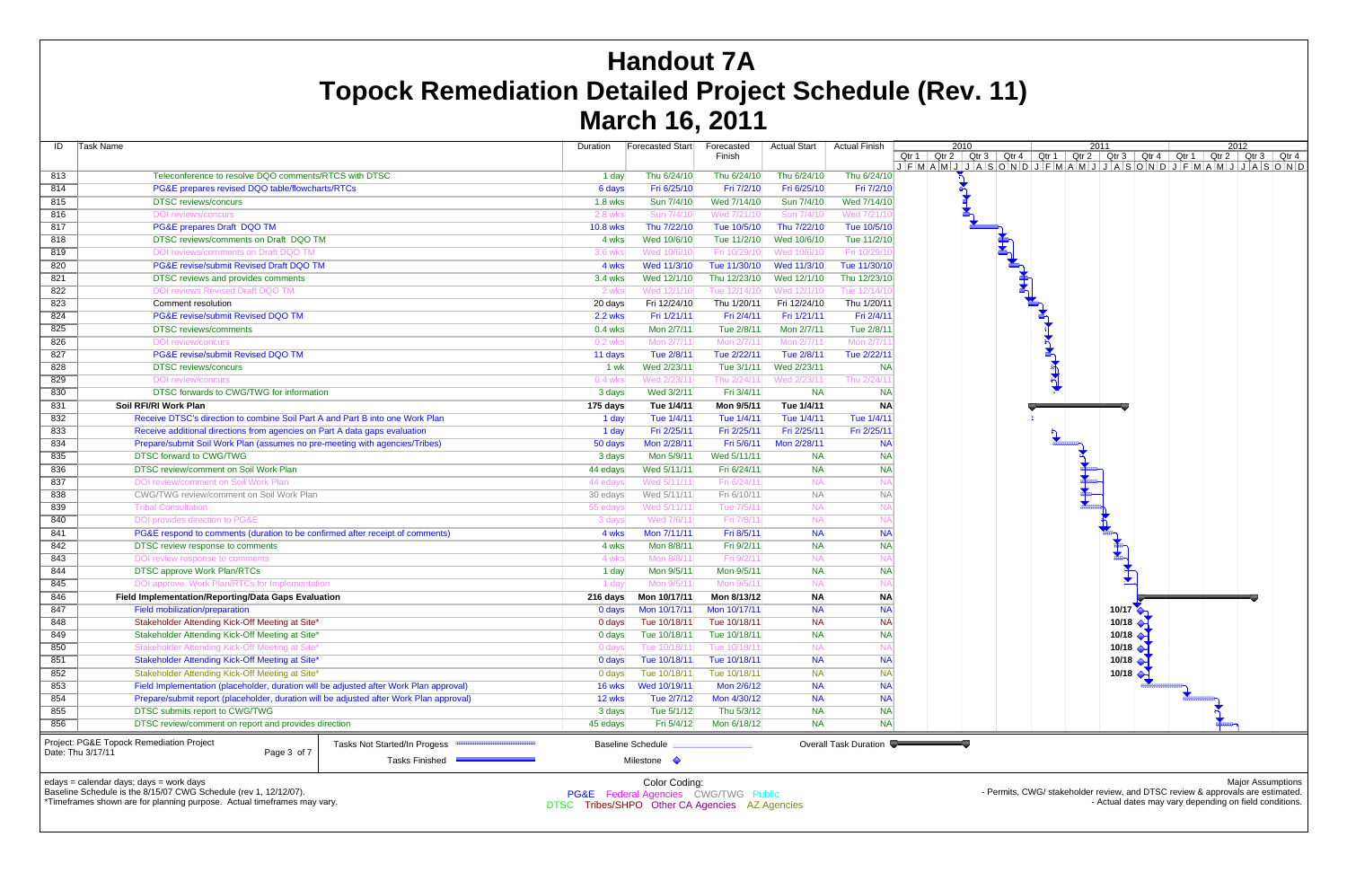| ID                                     | <b>Task Name</b>                                                                        |          | Duration                 | Forecasted Start | Forecasted<br>Finish | <b>Actual Start</b>   | <b>Actual Finish</b> | 2010<br>Qtr $1$ Qtr $2$ Qtr $3$<br>$J$ $F$ $M$ $A$ $M$ $J$ $J$ $A$ $S$ |
|----------------------------------------|-----------------------------------------------------------------------------------------|----------|--------------------------|------------------|----------------------|-----------------------|----------------------|------------------------------------------------------------------------|
| 813                                    | Teleconference to resolve DQO comments/RTCS with DTSC                                   |          | 1 day                    | Thu 6/24/10      | Thu 6/24/10          | Thu 6/24/10           | Thu 6/24/10          |                                                                        |
| 814                                    | PG&E prepares revised DQO table/flowcharts/RTCs                                         |          | 6 days                   | Fri 6/25/10      | Fri 7/2/10           | Fri 6/25/10           | Fri 7/2/10           | $\mathbf{r}^{\mathbf{p}^{\mathbf{q}^{\mathbf{r}}}}$                    |
| 815                                    | <b>DTSC</b> reviews/concurs                                                             |          | <b>1.8 wks</b>           | Sun 7/4/10       | Wed 7/14/10          | Sun 7/4/10            | Wed 7/14/10          |                                                                        |
| 816                                    | <b>DOI</b> reviews/concurs                                                              |          | 2.8 wks                  | Sun 7/4/10       | Wed 7/21/10          | Sun 7/4/10            | Wed 7/21/1           |                                                                        |
| 817                                    | PG&E prepares Draft DQO TM                                                              |          | <b>10.8 wks</b>          | Thu 7/22/10      | Tue 10/5/10          | Thu 7/22/10           | Tue 10/5/10          |                                                                        |
| 818                                    | DTSC reviews/comments on Draft DQO TM                                                   |          | 4 wks                    | Wed 10/6/10      | Tue 11/2/10          | Wed 10/6/10           | Tue 11/2/10          |                                                                        |
| 819                                    | DOI reviews/comments on Draft DQO TM                                                    |          | 3.6 wks                  | Wed 10/6/10      | Fri 10/29/10         | Wed 10/6/10           | Fri 10/29/1          |                                                                        |
| 820                                    | PG&E revise/submit Revised Draft DQO TM                                                 |          | 4 wks                    | Wed 11/3/10      | Tue 11/30/10         | Wed 11/3/10           | Tue 11/30/10         |                                                                        |
| 821                                    | DTSC reviews and provides comments                                                      |          | 3.4 wks                  | Wed 12/1/10      | Thu 12/23/10         | Wed 12/1/10           | Thu 12/23/10         |                                                                        |
| 822                                    | <b>DOI reviews Revised Draft DQO TM</b>                                                 |          | 2 wks                    | Wed 12/1/10      | Tue 12/14/10         | Wed 12/1/10           | Tue 12/14/1          |                                                                        |
| 823                                    | Comment resolution                                                                      |          | 20 days                  | Fri 12/24/10     | Thu 1/20/11          | Fri 12/24/10          | Thu 1/20/11          |                                                                        |
| 824                                    | PG&E revise/submit Revised DQO TM                                                       |          | <b>2.2 wks</b>           | Fri 1/21/11      | Fri 2/4/11           | Fri 1/21/11           | Fri 2/4/11           |                                                                        |
| 825                                    | <b>DTSC</b> reviews/comments                                                            |          | $0.4$ wks                | Mon 2/7/11       | Tue 2/8/11           | Mon 2/7/11            | Tue 2/8/11           |                                                                        |
| 826                                    | <b>DOI</b> review/concurs                                                               |          | 0.2 wks                  | Mon 2/7/11       | Mon 2/7/11           | Mon 2/7/11            | Mon 2/7/1            |                                                                        |
| 827                                    | PG&E revise/submit Revised DQO TM                                                       |          | 11 days                  | Tue 2/8/11       | Tue 2/22/11          | Tue 2/8/11            | Tue 2/22/11          |                                                                        |
| 828                                    | <b>DTSC</b> reviews/concurs                                                             |          | 1 wk                     | Wed 2/23/11      | Tue 3/1/11           | Wed 2/23/11           | <b>NA</b>            |                                                                        |
| 829                                    | <b>DOI</b> review/concurs                                                               |          | 0.4 wks                  | Wed 2/23/11      | Thu 2/24/1           | Wed 2/23/1            | Thu 2/24/1           |                                                                        |
| 830                                    | DTSC forwards to CWG/TWG for information                                                |          | 3 days                   | Wed 3/2/11       | Fri 3/4/11           | <b>NA</b>             | <b>NA</b>            |                                                                        |
| 831                                    | Soil RFI/RI Work Plan                                                                   |          | 175 days                 | Tue 1/4/11       | Mon 9/5/11           | Tue 1/4/11            | <b>NA</b>            |                                                                        |
| 832                                    | Receive DTSC's direction to combine Soil Part A and Part B into one Work Plan           |          | 1 day                    | Tue 1/4/11       | Tue 1/4/11           | Tue 1/4/11            | Tue 1/4/11           |                                                                        |
| 833                                    | Receive additional directions from agencies on Part A data gaps evaluation              |          | 1 day                    | Fri 2/25/11      | Fri 2/25/11          | Fri 2/25/11           | Fri 2/25/11          |                                                                        |
| 834                                    | Prepare/submit Soil Work Plan (assumes no pre-meeting with agencies/Tribes)             |          | 50 days                  | Mon 2/28/11      | Fri 5/6/11           | Mon 2/28/11           | <b>NA</b>            |                                                                        |
| 835                                    | DTSC forward to CWG/TWG                                                                 |          | 3 days                   | Mon 5/9/11       | Wed 5/11/11          | <b>NA</b>             | <b>NA</b>            |                                                                        |
| 836                                    | DTSC review/comment on Soil Work Plan                                                   | 44 edays | Wed 5/11/11              | Fri 6/24/11      | <b>NA</b>            | <b>NA</b>             |                      |                                                                        |
| 837                                    | DOI review/comment on Soil Work Plan                                                    |          | 44 edays                 | Wed 5/11/11      | Fri 6/24/1           | <b>NA</b>             | N <sub>f</sub>       |                                                                        |
| 838                                    | CWG/TWG review/comment on Soil Work Plan                                                |          | 30 edays                 | Wed 5/11/11      | Fri 6/10/11          | <b>NA</b>             | $N_A$                |                                                                        |
| 839                                    | <b>Tribal Consultation</b>                                                              |          | 55 edays                 | Wed 5/11/11      | Tue 7/5/1            | <b>NA</b>             | N <sub>f</sub>       |                                                                        |
| 840                                    | DOI provides direction to PG&E                                                          |          | 3 days                   | Wed 7/6/11       | Fri 7/8/1            | <b>NA</b>             | N <sub>f</sub>       |                                                                        |
| 841                                    | PG&E respond to comments (duration to be confirmed after receipt of comments)           |          | 4 wks                    | Mon 7/11/11      | Fri 8/5/11           | <b>NA</b>             | <b>NA</b>            |                                                                        |
| 842                                    | DTSC review response to comments                                                        |          | 4 wks                    | Mon 8/8/11       | Fri 9/2/11           | <b>NA</b>             | <b>NA</b>            |                                                                        |
| 843                                    | DOI review response to comments                                                         |          | 4 wks                    | Mon 8/8/11       | Fri 9/2/1            | <b>NA</b>             | N/                   |                                                                        |
| 844                                    | <b>DTSC approve Work Plan/RTCs</b>                                                      |          | 1 day                    | Mon 9/5/11       | Mon 9/5/11           | <b>NA</b>             | <b>NA</b>            |                                                                        |
| 845                                    | DOI approve Work Plan/RTCs for Implementation                                           |          | 1 day                    | Mon 9/5/11       | Mon 9/5/1            | <b>NA</b>             | N/                   |                                                                        |
| 846                                    | Field Implementation/Reporting/Data Gaps Evaluation                                     |          | 216 days                 | Mon 10/17/11     | Mon 8/13/12          | <b>NA</b>             | <b>NA</b>            |                                                                        |
| 847                                    | Field mobilization/preparation                                                          |          | 0 days                   | Mon 10/17/11     | Mon 10/17/11         | <b>NA</b>             | <b>NA</b>            |                                                                        |
| 848                                    | Stakeholder Attending Kick-Off Meeting at Site*                                         |          | 0 days                   | Tue 10/18/11     | Tue 10/18/11         | <b>NA</b>             | <b>NA</b>            |                                                                        |
| 849                                    | Stakeholder Attending Kick-Off Meeting at Site*                                         |          | 0 days                   | Tue 10/18/11     | Tue 10/18/11         | <b>NA</b>             | <b>NA</b>            |                                                                        |
| 850                                    | Stakeholder Attending Kick-Off Meeting at Site*                                         |          | 0 days                   | Tue 10/18/11     | Tue 10/18/11         | <b>NA</b>             | N/                   |                                                                        |
| 851                                    | Stakeholder Attending Kick-Off Meeting at Site*                                         | 0 days   | Tue 10/18/11             | Tue 10/18/11     | <b>NA</b>            | <b>NA</b>             |                      |                                                                        |
| 852                                    | Stakeholder Attending Kick-Off Meeting at Site*                                         | 0 days   | Tue 10/18/11             | Tue 10/18/11     | <b>NA</b>            | <b>NA</b>             |                      |                                                                        |
| 853                                    | Field Implementation (placeholder, duration will be adjusted after Work Plan approval)  | 16 wks   | Wed 10/19/11             | Mon 2/6/12       | <b>NA</b>            | <b>NA</b>             |                      |                                                                        |
| 854                                    | Prepare/submit report (placeholder, duration will be adjusted after Work Plan approval) | 12 wks   | Tue 2/7/12               | Mon 4/30/12      | <b>NA</b>            | <b>NA</b>             |                      |                                                                        |
| 855                                    | DTSC submits report to CWG/TWG                                                          | 3 days   | Tue 5/1/12               | Thu 5/3/12       | <b>NA</b>            | <b>NA</b>             |                      |                                                                        |
| 856                                    | DTSC review/comment on report and provides direction                                    | 45 edays | Fri 5/4/12               | Mon 6/18/12      | <b>NA</b>            | <b>NA</b>             |                      |                                                                        |
|                                        |                                                                                         |          |                          |                  |                      |                       |                      |                                                                        |
|                                        | Project: PG&E Topock Remediation Project<br>Date: Thu 3/17/11<br>Page 3 of 7            |          | <b>Baseline Schedule</b> |                  |                      | Overall Task Duration |                      |                                                                        |
| Tasks Finished<br>Milestone $\Diamond$ |                                                                                         |          |                          |                  |                      |                       |                      |                                                                        |
|                                        |                                                                                         |          |                          |                  |                      |                       |                      |                                                                        |

edays = calendar days; days = work days



Baseline Schedule is the 8/15/07 CWG Schedule (rev 1, 12/12/07).

\*Timeframes shown are for planning purpose. Actual timeframes may vary.

Color Coding: PG&E Federal Agencies CWG/TWG Public DTSC Tribes/SHPO Other CA Agencies AZ Agencies

- Permits, CWG/ stakeholder review, and DTSC review & approvals are estimated. - Actual dates may vary depending on field conditions.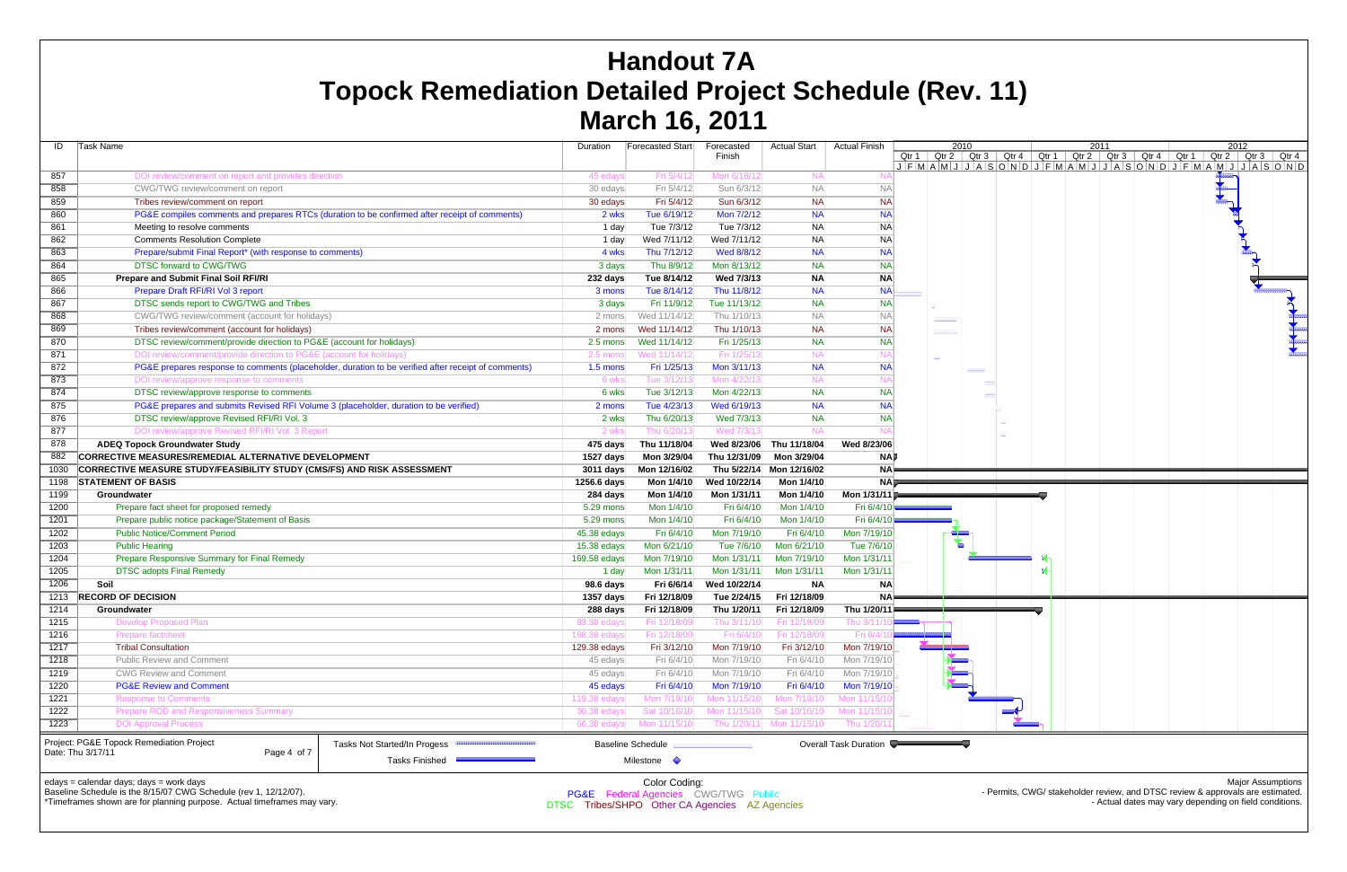Permits, CWG/ stakeholder review, and DTSC review & approvals are esti - Actual dates may vary depending on field conditions.

| ID   | Task Name                                                                                                                             | Duration     | Forecasted Start                                                 | Forecasted<br>Finish | <b>Actual Start</b>      | <b>Actual Finish</b>  |                    | 2010<br>Qtr 1   Qtr 2   Qtr 3   Qtr 4   Qtr 1   Qtr 2   Qtr 3   Qtr 4   Qtr 1   Qtr 2   Qtr 3   Qtr 4                                           | 2011 |                                                                                | 2012                     |  |
|------|---------------------------------------------------------------------------------------------------------------------------------------|--------------|------------------------------------------------------------------|----------------------|--------------------------|-----------------------|--------------------|-------------------------------------------------------------------------------------------------------------------------------------------------|------|--------------------------------------------------------------------------------|--------------------------|--|
|      |                                                                                                                                       |              |                                                                  |                      |                          |                       |                    | $J$ $F$ $M$ $A$ $M$ $J$ $J$ $A$ $S$ $O$ $N$ $D$ $J$ $F$ $M$ $A$ $M$ $J$ $J$ $A$ $S$ $O$ $N$ $D$ $J$ $F$ $M$ $A$ $M$ $J$ $J$ $A$ $S$ $O$ $N$ $D$ |      |                                                                                |                          |  |
| 857  | DOI review/comment on report and provides direction                                                                                   | 45 edays     | Fri 5/4/12                                                       | Mon 6/18/1           | <b>NA</b>                |                       |                    |                                                                                                                                                 |      |                                                                                |                          |  |
| 858  | CWG/TWG review/comment on report                                                                                                      | 30 edays     | Fri 5/4/12                                                       | Sun 6/3/12           | <b>NA</b>                | N                     |                    |                                                                                                                                                 |      |                                                                                |                          |  |
| 859  | Tribes review/comment on report                                                                                                       | 30 edays     | Fri 5/4/12                                                       | Sun 6/3/12           | <b>NA</b>                | <b>NA</b>             |                    |                                                                                                                                                 |      |                                                                                |                          |  |
| 860  | PG&E compiles comments and prepares RTCs (duration to be confirmed after receipt of comments)                                         | 2 wks        | Tue 6/19/12                                                      | Mon 7/2/12           | <b>NA</b>                | <b>NA</b>             |                    |                                                                                                                                                 |      |                                                                                |                          |  |
| 861  | Meeting to resolve comments                                                                                                           | 1 day        | Tue 7/3/12                                                       | Tue 7/3/12           | <b>NA</b>                | <b>NA</b>             |                    |                                                                                                                                                 |      |                                                                                |                          |  |
| 862  | <b>Comments Resolution Complete</b>                                                                                                   | 1 day        | Wed 7/11/12                                                      | Wed 7/11/12          | <b>NA</b>                | <b>NA</b>             |                    |                                                                                                                                                 |      |                                                                                |                          |  |
| 863  | Prepare/submit Final Report* (with response to comments)                                                                              | 4 wks        | Thu 7/12/12                                                      | Wed 8/8/12           | <b>NA</b>                | <b>NA</b>             |                    |                                                                                                                                                 |      |                                                                                |                          |  |
| 864  | <b>DTSC forward to CWG/TWG</b>                                                                                                        | 3 days       | Thu 8/9/12                                                       | Mon 8/13/12          | <b>NA</b>                | <b>NA</b>             |                    |                                                                                                                                                 |      |                                                                                |                          |  |
| 865  | <b>Prepare and Submit Final Soil RFI/RI</b>                                                                                           | 232 days     | Tue 8/14/12                                                      | Wed 7/3/13           | <b>NA</b>                | <b>NA</b>             |                    |                                                                                                                                                 |      |                                                                                |                          |  |
| 866  | Prepare Draft RFI/RI Vol 3 report                                                                                                     | 3 mons       | Tue 8/14/12                                                      | Thu 11/8/12          | <b>NA</b>                | <b>NA</b>             |                    |                                                                                                                                                 |      |                                                                                |                          |  |
| 867  | DTSC sends report to CWG/TWG and Tribes                                                                                               | 3 days       | Fri 11/9/12                                                      | Tue 11/13/12         | <b>NA</b>                | <b>NA</b>             |                    |                                                                                                                                                 |      |                                                                                |                          |  |
| 868  | CWG/TWG review/comment (account for holidays)                                                                                         | 2 mons       | Wed 11/14/12                                                     | Thu 1/10/13          | NA                       | <b>NA</b>             | <b>SERVICE</b>     |                                                                                                                                                 |      |                                                                                |                          |  |
| 869  | Tribes review/comment (account for holidays)                                                                                          | 2 mons       | Wed 11/14/12                                                     | Thu 1/10/13          | <b>NA</b>                | <b>NA</b>             | <b>THE CONTROL</b> |                                                                                                                                                 |      |                                                                                |                          |  |
| 870  | DTSC review/comment/provide direction to PG&E (account for holidays)                                                                  | 2.5 mons     | Wed 11/14/12                                                     | Fri 1/25/13          | <b>NA</b>                | <b>NA</b>             |                    |                                                                                                                                                 |      |                                                                                |                          |  |
| 871  | DOI review/comment/provide direction to PG&E (account for holidays)                                                                   | 2.5 mons     | Wed 11/14/12                                                     | Fri 1/25/1           | <b>NA</b>                |                       |                    |                                                                                                                                                 |      |                                                                                |                          |  |
| 872  | PG&E prepares response to comments (placeholder, duration to be verified after receipt of comments)                                   | $1.5$ mons   | Fri 1/25/13                                                      | Mon 3/11/13          | <b>NA</b>                | <b>NA</b>             |                    | unin in                                                                                                                                         |      |                                                                                |                          |  |
| 873  | DOI review/approve response to comments                                                                                               | 6 wks        | Tue 3/12/13                                                      | Mon 4/22/            | <b>NA</b>                |                       |                    |                                                                                                                                                 |      |                                                                                |                          |  |
| 874  | DTSC review/approve response to comments                                                                                              | 6 wks        | Tue 3/12/13                                                      | Mon 4/22/13          | <b>NA</b>                | <b>NA</b>             |                    |                                                                                                                                                 |      |                                                                                |                          |  |
| 875  | PG&E prepares and submits Revised RFI Volume 3 (placeholder, duration to be verified)                                                 | 2 mons       | Tue 4/23/13                                                      | Wed 6/19/13          | <b>NA</b>                | <b>NA</b>             |                    |                                                                                                                                                 |      |                                                                                |                          |  |
| 876  | DTSC review/approve Revised RFI/RI Vol. 3                                                                                             | 2 wks        | Thu 6/20/13                                                      | Wed 7/3/13           | <b>NA</b>                | <b>NA</b>             |                    |                                                                                                                                                 |      |                                                                                |                          |  |
| 877  | DOI review/approve Revised RFI/RI Vol. 3 Report                                                                                       | 2 wks        | Thu 6/20/1:                                                      | Wed 7/3/1            |                          |                       |                    |                                                                                                                                                 |      |                                                                                |                          |  |
| 878  | <b>ADEQ Topock Groundwater Study</b>                                                                                                  | 475 days     | Thu 11/18/04                                                     | Wed 8/23/06          | Thu 11/18/04             | Wed 8/23/06           |                    |                                                                                                                                                 |      |                                                                                |                          |  |
| 882  | <b>CORRECTIVE MEASURES/REMEDIAL ALTERNATIVE DEVELOPMENT</b>                                                                           | 1527 days    | Mon 3/29/04                                                      | Thu 12/31/09         | Mon 3/29/04              | <b>NAI</b>            |                    |                                                                                                                                                 |      |                                                                                |                          |  |
| 1030 | CORRECTIVE MEASURE STUDY/FEASIBILITY STUDY (CMS/FS) AND RISK ASSESSMENT                                                               | 3011 days    | Mon 12/16/02                                                     |                      | Thu 5/22/14 Mon 12/16/02 | <b>NA</b>             |                    |                                                                                                                                                 |      |                                                                                |                          |  |
| 1198 | <b>STATEMENT OF BASIS</b>                                                                                                             | 1256.6 days  | Mon 1/4/10                                                       | Wed 10/22/14         | Mon 1/4/10               | <b>NAL</b>            |                    | <u> 1999 - Jacques Maria III, poet</u><br>and the control of the control of the                                                                 |      |                                                                                |                          |  |
| 1199 | Groundwater                                                                                                                           | 284 days     | Mon 1/4/10                                                       | Mon 1/31/11          | Mon 1/4/10               | Mon 1/31/11           |                    |                                                                                                                                                 |      |                                                                                |                          |  |
| 1200 | Prepare fact sheet for proposed remedy                                                                                                | 5.29 mons    | Mon 1/4/10                                                       | Fri 6/4/10           | Mon 1/4/10               | Fri 6/4/10            |                    |                                                                                                                                                 |      |                                                                                |                          |  |
| 1201 | Prepare public notice package/Statement of Basis                                                                                      | 5.29 mons    | Mon 1/4/10                                                       | Fri 6/4/10           | Mon 1/4/10               | Fri 6/4/10            |                    |                                                                                                                                                 |      |                                                                                |                          |  |
| 1202 | <b>Public Notice/Comment Period</b>                                                                                                   | 45.38 edays  | Fri 6/4/10                                                       | Mon 7/19/10          | Fri 6/4/10               | Mon 7/19/1            |                    |                                                                                                                                                 |      |                                                                                |                          |  |
| 1203 | <b>Public Hearing</b>                                                                                                                 | 15.38 edays  | Mon 6/21/10                                                      | Tue 7/6/10           | Mon 6/21/10              | Tue 7/6/1             |                    |                                                                                                                                                 |      |                                                                                |                          |  |
| 1204 | Prepare Responsive Summary for Final Remedy                                                                                           | 169.58 edays | Mon 7/19/10                                                      | Mon 1/31/11          | Mon 7/19/10              | Mon 1/31/1            |                    |                                                                                                                                                 |      |                                                                                |                          |  |
| 1205 | <b>DTSC adopts Final Remedy</b>                                                                                                       | 1 day        | Mon 1/31/11                                                      | Mon 1/31/11          | Mon 1/31/11              | Mon 1/31/11           |                    |                                                                                                                                                 |      |                                                                                |                          |  |
| 1206 | Soil                                                                                                                                  | 98.6 days    | Fri 6/6/14                                                       | Wed 10/22/14         | <b>NA</b>                | <b>NA</b>             |                    |                                                                                                                                                 |      |                                                                                |                          |  |
| 1213 | <b>RECORD OF DECISION</b>                                                                                                             | $1357$ days  | Fri 12/18/09                                                     | Tue 2/24/15          | Fri 12/18/09             | <b>NA</b>             |                    | and the state of the state of the state of                                                                                                      |      |                                                                                |                          |  |
| 1214 | Groundwater                                                                                                                           | 288 days     | Fri 12/18/09                                                     | Thu 1/20/11          | Fri 12/18/09             | Thu 1/20/11           |                    |                                                                                                                                                 |      |                                                                                |                          |  |
| 1215 | <b>Develop Proposed Plan</b>                                                                                                          |              |                                                                  | Thu .                |                          |                       |                    |                                                                                                                                                 |      |                                                                                |                          |  |
| 1216 | <b>Prepare factsheet</b>                                                                                                              | 168.38 edays | Fri 12/18/09                                                     | Fri 6/4/             | Fri 12/18/0              | Fri 6/4               |                    |                                                                                                                                                 |      |                                                                                |                          |  |
| 1217 | <b>Tribal Consultation</b>                                                                                                            | 129.38 edays | Fri 3/12/10                                                      | Mon 7/19/10          | Fri 3/12/10              | Mon 7/19/10           |                    |                                                                                                                                                 |      |                                                                                |                          |  |
| 1218 | <b>Public Review and Comment</b>                                                                                                      | 45 edays     | Fri 6/4/10                                                       | Mon 7/19/10          | Fri 6/4/10               | Mon 7/19/1            |                    |                                                                                                                                                 |      |                                                                                |                          |  |
| 1219 | <b>CWG Review and Comment</b>                                                                                                         | 45 edays     | Fri 6/4/10                                                       | Mon 7/19/10          | Fri 6/4/10               | Mon 7/19/1            |                    |                                                                                                                                                 |      |                                                                                |                          |  |
| 1220 | <b>PG&amp;E Review and Comment</b>                                                                                                    | 45 edays     | Fri 6/4/10                                                       | Mon 7/19/10          | Fri 6/4/10               | Mon 7/19/10           |                    |                                                                                                                                                 |      |                                                                                |                          |  |
| 1221 | <b>Response to Comments</b>                                                                                                           | 119.38 eday  | Mon 7/19/10                                                      | Mon 11/15/1          | Mon 7/19/1               | Mon 11/15/1           |                    |                                                                                                                                                 |      |                                                                                |                          |  |
| 1222 | <b>Prepare ROD and Responsiveness Summary</b>                                                                                         | 30.38 edays  | Sat 10/16/10                                                     | Mon 11/15/1          | Sat 10/16/1              | Mon 11/15/1           |                    |                                                                                                                                                 |      |                                                                                |                          |  |
| 1223 | <b>DOI Approval Process</b>                                                                                                           | 66.38 edays  | Mon 11/15/10                                                     | Thu 1/20/1           | Mon 11/15/1              | Thu 1/20/             |                    |                                                                                                                                                 |      |                                                                                |                          |  |
|      | Project: PG&E Topock Remediation Project<br>Tasks Not Started/In Progess<br>Date: Thu 3/17/11<br>Page 4 of 7<br><b>Tasks Finished</b> |              | <b>Baseline Schedule</b><br>Milestone $\Diamond$                 |                      |                          | Overall Task Duration |                    |                                                                                                                                                 |      |                                                                                |                          |  |
|      | edays = calendar days; days = work days<br>Baseline Schedule is the 8/15/07 CWG Schedule (rev 1, 12/12/07).                           |              | Color Coding:<br><b>PG&amp;F</b> Federal Agencies CWG/TWG Public |                      |                          |                       |                    |                                                                                                                                                 |      | - Permits, CWG/ stakeholder review, and DTSC review & approvals are estimated. | <b>Major Assumptions</b> |  |

# **Handout 7A Topock Remediation Detailed Project Schedule (Rev. 11) March 16, 2011**

\*Timeframes shown are for planning purpose. Actual timeframes may vary.

PG&E Federal Agencies CWG/TWG Public DTSC Tribes/SHPO Other CA Agencies AZ Agencies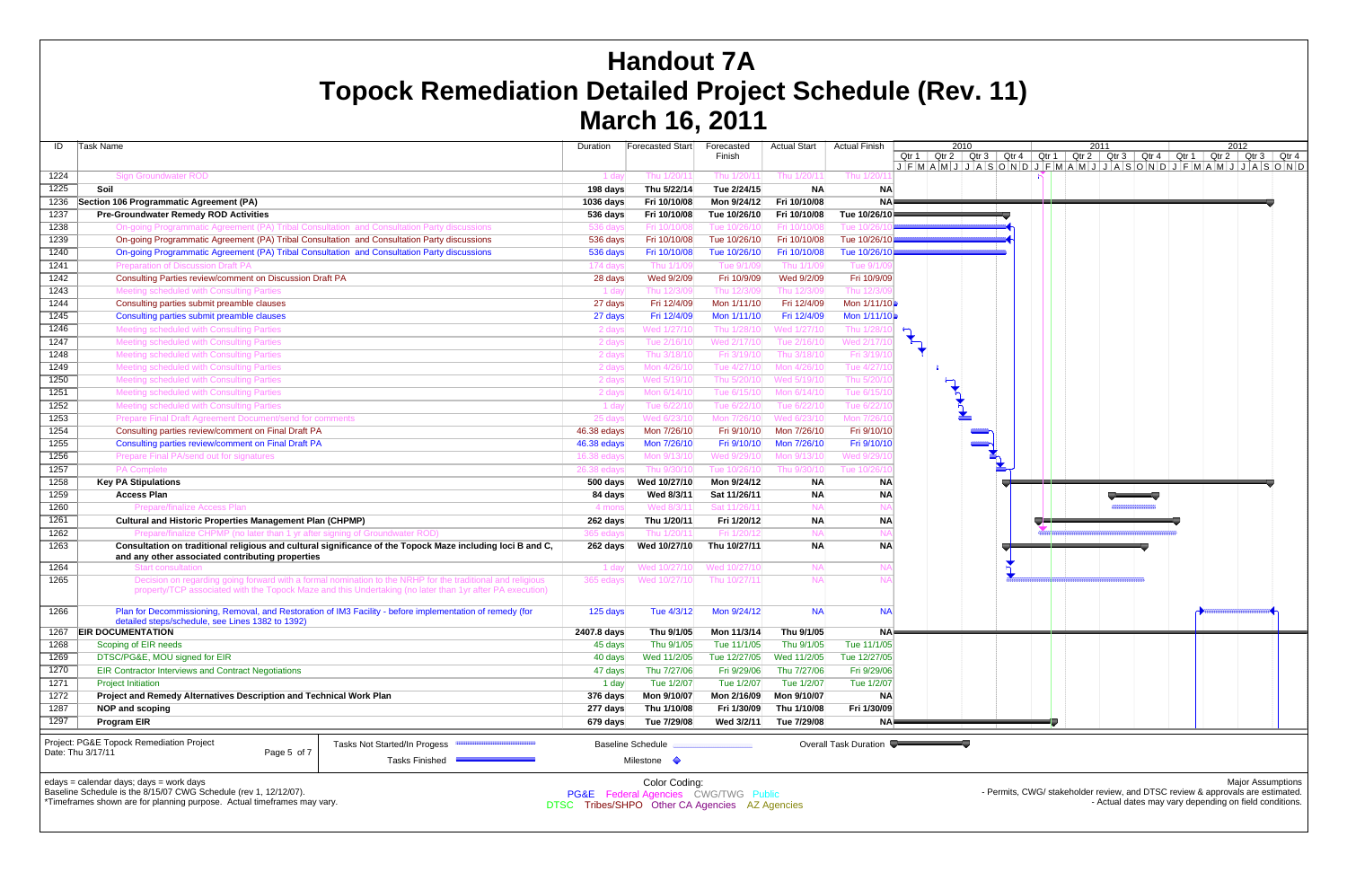| ID   | Task Name                                                                                                                                                                              |                                                                                                                                                                                                                        | Duration              | Forecasted Start                                                                                            | Forecasted<br>Finish | <b>Actual Start</b> | <b>Actual Finish</b>  | 2010<br>Qtr $2 \mid$ Qtr 3<br>Qtr 1 $\vert$<br>$J$ $F$ $M$ $A$ $M$ $J$ $J$ $A$ $S$ |
|------|----------------------------------------------------------------------------------------------------------------------------------------------------------------------------------------|------------------------------------------------------------------------------------------------------------------------------------------------------------------------------------------------------------------------|-----------------------|-------------------------------------------------------------------------------------------------------------|----------------------|---------------------|-----------------------|------------------------------------------------------------------------------------|
| 1224 | <b>Sign Groundwater ROD</b>                                                                                                                                                            |                                                                                                                                                                                                                        | 1 day                 | Thu 1/20/11                                                                                                 | Thu 1/20/1           | Thu 1/20/1          | Thu 1/20/1            |                                                                                    |
| 1225 | Soil                                                                                                                                                                                   |                                                                                                                                                                                                                        | 198 days              | Thu 5/22/14                                                                                                 | Tue 2/24/15          | <b>NA</b>           | <b>NA</b>             |                                                                                    |
| 1236 | Section 106 Programmatic Agreement (PA)                                                                                                                                                |                                                                                                                                                                                                                        | 1036 days             | Fri 10/10/08                                                                                                | Mon 9/24/12          | Fri 10/10/08        | <b>NA</b>             |                                                                                    |
| 1237 | <b>Pre-Groundwater Remedy ROD Activities</b>                                                                                                                                           |                                                                                                                                                                                                                        | 536 days              | Fri 10/10/08                                                                                                | Tue 10/26/10         | Fri 10/10/08        | Tue 10/26/10          |                                                                                    |
| 1238 | On-going Programmatic Agreement (PA) Tribal Consultation and Consultation Party discussions                                                                                            |                                                                                                                                                                                                                        | 536 days              | Fri 10/10/08                                                                                                | Tue 10/26/10         | Fri 10/10/08        | Tue 10/26/            |                                                                                    |
| 1239 | On-going Programmatic Agreement (PA) Tribal Consultation and Consultation Party discussions                                                                                            |                                                                                                                                                                                                                        | 536 days              | Fri 10/10/08                                                                                                | Tue 10/26/10         | Fri 10/10/08        | Tue 10/26/10          |                                                                                    |
| 1240 | On-going Programmatic Agreement (PA) Tribal Consultation and Consultation Party discussions                                                                                            |                                                                                                                                                                                                                        | 536 days              | Fri 10/10/08                                                                                                | Tue 10/26/10         | Fri 10/10/08        | Tue 10/26/10          |                                                                                    |
| 1241 | <b>Preparation of Discussion Draft PA</b>                                                                                                                                              |                                                                                                                                                                                                                        | 174 days              | Thu 1/1/09                                                                                                  | Tue 9/1/09           | Thu 1/1/09          | Tue 9/1/0             |                                                                                    |
| 1242 | Consulting Parties review/comment on Discussion Draft PA                                                                                                                               |                                                                                                                                                                                                                        | 28 days               | Wed 9/2/09                                                                                                  | Fri 10/9/09          | Wed 9/2/09          | Fri 10/9/09           |                                                                                    |
| 1243 | Meeting scheduled with Consulting Parties                                                                                                                                              |                                                                                                                                                                                                                        | 1 day                 | Thu 12/3/09                                                                                                 | Thu 12/3/09          | Thu 12/3/09         | Thu 12/3/0            |                                                                                    |
| 1244 | Consulting parties submit preamble clauses                                                                                                                                             |                                                                                                                                                                                                                        | 27 days               | Fri 12/4/09                                                                                                 | Mon 1/11/10          | Fri 12/4/09         | Mon 1/11/10           |                                                                                    |
| 1245 | Consulting parties submit preamble clauses                                                                                                                                             |                                                                                                                                                                                                                        | 27 days               | Fri 12/4/09                                                                                                 | Mon 1/11/10          | Fri 12/4/09         | Mon 1/11/10           |                                                                                    |
| 1246 | Meeting scheduled with Consulting Parties                                                                                                                                              |                                                                                                                                                                                                                        | 2 days                | Wed 1/27/10                                                                                                 | Thu 1/28/10          | Wed 1/27/10         | Thu 1/28/             |                                                                                    |
| 1247 | Meeting scheduled with Consulting Parties                                                                                                                                              |                                                                                                                                                                                                                        | 2 days                | Tue 2/16/10                                                                                                 | Wed 2/17/10          | Tue 2/16/10         | Wed 2/17/1            |                                                                                    |
| 1248 | Meeting scheduled with Consulting Parties                                                                                                                                              |                                                                                                                                                                                                                        | 2 days                | Thu 3/18/10                                                                                                 | Fri 3/19/10          | Thu 3/18/10         | Fri 3/19/1            |                                                                                    |
| 1249 | Meeting scheduled with Consulting Parties                                                                                                                                              |                                                                                                                                                                                                                        | 2 days                | Mon 4/26/10                                                                                                 | Tue 4/27/10          | Mon 4/26/10         | Tue 4/27/1            |                                                                                    |
| 1250 | Meeting scheduled with Consulting Parties                                                                                                                                              |                                                                                                                                                                                                                        | 2 days                | Wed 5/19/10                                                                                                 | Thu 5/20/10          | Wed 5/19/10         | Thu 5/20/1            | −                                                                                  |
| 1251 | Meeting scheduled with Consulting Parties                                                                                                                                              |                                                                                                                                                                                                                        | 2 days                | Mon 6/14/10                                                                                                 | Tue 6/15/10          | Mon 6/14/10         | Tue 6/15/1            |                                                                                    |
| 1252 | Meeting scheduled with Consulting Parties                                                                                                                                              |                                                                                                                                                                                                                        | 1 day                 | Tue 6/22/10                                                                                                 | Tue 6/22/10          | Tue 6/22/10         | Tue 6/22/1            |                                                                                    |
| 1253 | Prepare Final Draft Agreement Document/send for comments                                                                                                                               | 25 days                                                                                                                                                                                                                | Wed 6/23/10           | Mon 7/26/10                                                                                                 | Wed 6/23/10          | Mon 7/26/1          |                       |                                                                                    |
| 1254 | Consulting parties review/comment on Final Draft PA                                                                                                                                    |                                                                                                                                                                                                                        | 46.38 edays           | Mon 7/26/10                                                                                                 | Fri 9/10/10          | Mon 7/26/10         | Fri 9/10/10           |                                                                                    |
| 1255 | Consulting parties review/comment on Final Draft PA                                                                                                                                    |                                                                                                                                                                                                                        | 46.38 edays           | Mon 7/26/10                                                                                                 | Fri 9/10/10          | Mon 7/26/10         | Fri 9/10/10           |                                                                                    |
| 1256 | Prepare Final PA/send out for signatures                                                                                                                                               |                                                                                                                                                                                                                        | 16.38 edays           | Mon 9/13/10                                                                                                 | Wed 9/29/10          | Mon 9/13/10         | Wed 9/29/1            |                                                                                    |
| 1257 | <b>PA Complete</b>                                                                                                                                                                     |                                                                                                                                                                                                                        | 26.38 edays           | Thu 9/30/10                                                                                                 | Tue 10/26/10         | Thu 9/30/10         | Tue 10/26/1           |                                                                                    |
| 1258 |                                                                                                                                                                                        |                                                                                                                                                                                                                        | 500 days              | Wed 10/27/10                                                                                                | Mon 9/24/12          | ΝA                  |                       |                                                                                    |
| 1259 | <b>Key PA Stipulations</b><br><b>Access Plan</b>                                                                                                                                       |                                                                                                                                                                                                                        |                       | Wed 8/3/11                                                                                                  | Sat 11/26/11         | <b>NA</b>           | ΝA<br><b>NA</b>       |                                                                                    |
| 1260 | <b>Prepare/finalize Access Plan</b>                                                                                                                                                    |                                                                                                                                                                                                                        | 84 days<br>4 mons     | Wed 8/3/11                                                                                                  | Sat 11/26/1          | <b>NA</b>           | N                     |                                                                                    |
| 1261 | <b>Cultural and Historic Properties Management Plan (CHPMP)</b>                                                                                                                        |                                                                                                                                                                                                                        |                       | Thu 1/20/11                                                                                                 | Fri 1/20/12          | <b>NA</b>           | <b>NA</b>             |                                                                                    |
| 1262 | Prepare/finalize CHPMP (no later than 1 yr after signing of Groundwater ROD)                                                                                                           |                                                                                                                                                                                                                        | 262 days<br>365 edays | Thu 1/20/11                                                                                                 | Fri 1/20/12          | <b>NA</b>           | N                     |                                                                                    |
| 1263 |                                                                                                                                                                                        | Consultation on traditional religious and cultural significance of the Topock Maze including loci B and C,                                                                                                             |                       | Wed 10/27/10                                                                                                | Thu 10/27/11         | <b>NA</b>           | <b>NA</b>             |                                                                                    |
|      | and any other associated contributing properties                                                                                                                                       |                                                                                                                                                                                                                        | 262 days              |                                                                                                             |                      |                     |                       |                                                                                    |
| 1264 | <b>Start consultation</b>                                                                                                                                                              |                                                                                                                                                                                                                        | 1 day                 | Wed 10/27/10                                                                                                | Wed 10/27/10         | <b>NA</b>           | N/                    |                                                                                    |
| 1265 |                                                                                                                                                                                        | Decision on regarding going forward with a formal nomination to the NRHP for the traditional and religious<br>property/TCP associated with the Topock Maze and this Undertaking (no later than 1yr after PA execution) | 365 edays             | Wed 10/27/10                                                                                                | Thu 10/27/11         | <b>NA</b>           | N/                    |                                                                                    |
| 1266 | detailed steps/schedule, see Lines 1382 to 1392)                                                                                                                                       | Plan for Decommissioning, Removal, and Restoration of IM3 Facility - before implementation of remedy (for                                                                                                              | 125 days              | Tue 4/3/12                                                                                                  | Mon 9/24/12          | <b>NA</b>           | <b>NA</b>             |                                                                                    |
| 1267 | <b>EIR DOCUMENTATION</b>                                                                                                                                                               |                                                                                                                                                                                                                        | 2407.8 days           | Thu 9/1/05                                                                                                  | Mon 11/3/14          | Thu 9/1/05          | <b>NA</b>             |                                                                                    |
| 1268 | Scoping of EIR needs                                                                                                                                                                   |                                                                                                                                                                                                                        | 45 days               | Thu 9/1/05                                                                                                  | Tue 11/1/05          | Thu 9/1/05          | Tue 11/1/05           |                                                                                    |
| 1269 | DTSC/PG&E, MOU signed for EIR                                                                                                                                                          |                                                                                                                                                                                                                        | 40 days               | Wed 11/2/05                                                                                                 | Tue 12/27/05         | Wed 11/2/05         | Tue 12/27/05          |                                                                                    |
| 1270 | <b>EIR Contractor Interviews and Contract Negotiations</b>                                                                                                                             | 47 days                                                                                                                                                                                                                | Thu 7/27/06           | Fri 9/29/06                                                                                                 | Thu 7/27/06          | Fri 9/29/06         |                       |                                                                                    |
| 1271 | <b>Project Initiation</b>                                                                                                                                                              | 1 day                                                                                                                                                                                                                  | Tue 1/2/07            | Tue 1/2/07                                                                                                  | Tue 1/2/07           | Tue 1/2/07          |                       |                                                                                    |
| 1272 | Project and Remedy Alternatives Description and Technical Work Plan                                                                                                                    |                                                                                                                                                                                                                        | 376 days              | Mon 9/10/07                                                                                                 | Mon 2/16/09          | Mon 9/10/07         | <b>NA</b>             |                                                                                    |
| 1287 | <b>NOP and scoping</b>                                                                                                                                                                 |                                                                                                                                                                                                                        | 277 days              | Thu 1/10/08                                                                                                 | Fri 1/30/09          | Thu 1/10/08         | Fri 1/30/09           |                                                                                    |
| 1297 | <b>Program EIR</b>                                                                                                                                                                     |                                                                                                                                                                                                                        | 679 days              | Tue 7/29/08                                                                                                 | Wed 3/2/11           | Tue 7/29/08         | NA                    |                                                                                    |
|      | Project: PG&E Topock Remediation Project<br>Date: Thu 3/17/11<br>Page 5 of 7                                                                                                           | Tasks Not Started/In Progess<br><b>Tasks Finished</b>                                                                                                                                                                  |                       | <b>Baseline Schedule</b><br>Milestone $\Diamond$                                                            |                      |                     | Overall Task Duration |                                                                                    |
|      | edays = calendar days; days = work days<br>Baseline Schedule is the 8/15/07 CWG Schedule (rev 1, 12/12/07).<br>*Timeframes shown are for planning purpose. Actual timeframes may vary. |                                                                                                                                                                                                                        |                       | Color Coding:<br>PG&E Federal Agencies CWG/TWG Public<br>$\Gamma$ Triboo/CUDO Other CA Agencies AZ Agencies |                      |                     |                       |                                                                                    |

or planning purpose. Actual timeframes may vary.

# **Handout 7A Topock Remediation Detailed Project Schedule (Rev. 11) March 16, 2011**



DTSC Tribes/SHPO Other CA Agencies AZ Agencies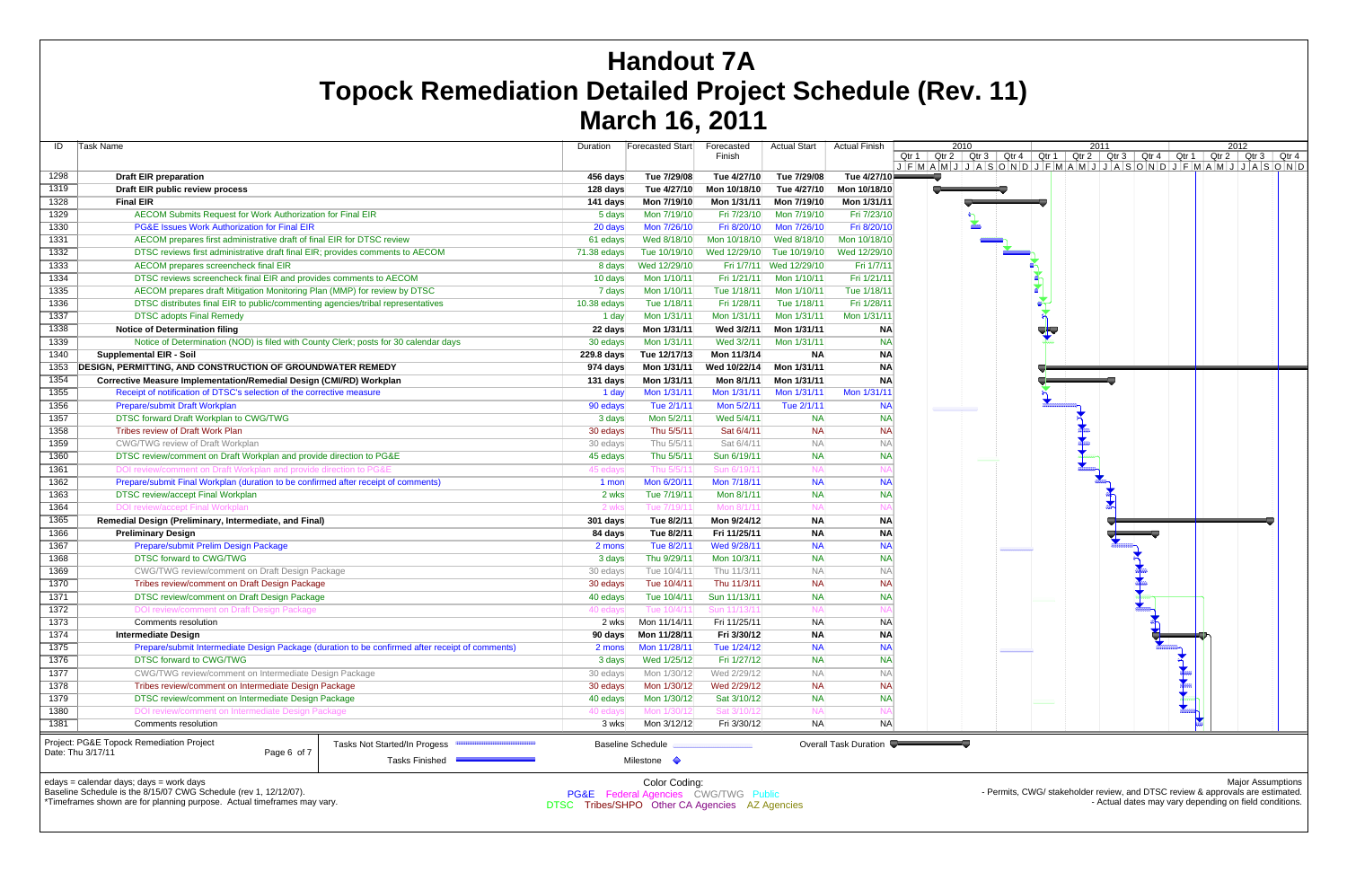| ID   | Task Name                                                                            |                                                                                                 | Duration    | <b>Forecasted Start</b>                          | Forecasted<br>Finish | <b>Actual Start</b> | <b>Actual Finish</b>         | 2010<br>Qtr $1$ Qtr $2$ Qtr $3$<br>$J$ $F$ $M$ $A$ $M$ $J$ $J$ $A$ $S$ |
|------|--------------------------------------------------------------------------------------|-------------------------------------------------------------------------------------------------|-------------|--------------------------------------------------|----------------------|---------------------|------------------------------|------------------------------------------------------------------------|
| 1298 | <b>Draft EIR preparation</b>                                                         |                                                                                                 | 456 days    | Tue 7/29/08                                      | Tue 4/27/10          | Tue 7/29/08         | Tue 4/27/10                  |                                                                        |
| 1319 | Draft EIR public review process                                                      |                                                                                                 | 128 days    | Tue 4/27/10                                      | Mon 10/18/10         | Tue 4/27/10         | Mon 10/18/10                 |                                                                        |
| 1328 | <b>Final EIR</b>                                                                     |                                                                                                 | 141 days    | Mon 7/19/10                                      | Mon 1/31/11          | Mon 7/19/10         | Mon 1/31/11                  |                                                                        |
| 1329 | AECOM Submits Request for Work Authorization for Final EIR                           |                                                                                                 | 5 days      | Mon 7/19/10                                      | Fri 7/23/10          | Mon 7/19/10         | Fri 7/23/10                  |                                                                        |
| 1330 | <b>PG&amp;E Issues Work Authorization for Final EIR</b>                              |                                                                                                 | 20 days     | Mon 7/26/10                                      | Fri 8/20/10          | Mon 7/26/10         | Fri 8/20/10                  | 峯                                                                      |
| 1331 | AECOM prepares first administrative draft of final EIR for DTSC review               |                                                                                                 | 61 edays    | Wed 8/18/10                                      | Mon 10/18/10         | Wed 8/18/10         | Mon 10/18/10                 |                                                                        |
| 1332 | DTSC reviews first administrative draft final EIR; provides comments to AECOM        |                                                                                                 | 71.38 edays | Tue 10/19/10                                     | Wed 12/29/10         | Tue 10/19/10        | Wed 12/29/10                 |                                                                        |
| 1333 | AECOM prepares screencheck final EIR                                                 |                                                                                                 | 8 days      | Wed 12/29/10                                     | Fri 1/7/11           | Wed 12/29/10        | Fri 1/7/11                   |                                                                        |
| 1334 | DTSC reviews screencheck final EIR and provides comments to AECOM                    |                                                                                                 | 10 days     | Mon 1/10/11                                      | Fri 1/21/11          | Mon 1/10/11         | Fri 1/21/11                  |                                                                        |
| 1335 | AECOM prepares draft Mitigation Monitoring Plan (MMP) for review by DTSC             |                                                                                                 | 7 days      | Mon 1/10/11                                      | Tue 1/18/11          | Mon 1/10/11         | Tue 1/18/11                  |                                                                        |
| 1336 | DTSC distributes final EIR to public/commenting agencies/tribal representatives      |                                                                                                 | 10.38 edays | Tue 1/18/11                                      | Fri 1/28/11          | Tue 1/18/11         | Fri 1/28/11                  |                                                                        |
| 1337 | <b>DTSC adopts Final Remedy</b>                                                      |                                                                                                 | 1 day       | Mon 1/31/11                                      | Mon 1/31/11          | Mon 1/31/11         | Mon 1/31/11                  |                                                                        |
| 1338 | <b>Notice of Determination filing</b>                                                |                                                                                                 | 22 days     | Mon 1/31/11                                      | Wed 3/2/11           | Mon 1/31/11         | <b>NA</b>                    |                                                                        |
| 1339 | Notice of Determination (NOD) is filed with County Clerk; posts for 30 calendar days |                                                                                                 | 30 edays    | Mon 1/31/11                                      | Wed 3/2/11           | Mon 1/31/11         | <b>NA</b>                    |                                                                        |
| 1340 | <b>Supplemental EIR - Soil</b>                                                       |                                                                                                 | 229.8 days  | Tue 12/17/13                                     | Mon 11/3/14          | <b>NA</b>           | <b>NA</b>                    |                                                                        |
| 1353 | <b>DESIGN, PERMITTING, AND CONSTRUCTION OF GROUNDWATER REMEDY</b>                    |                                                                                                 | 974 days    | Mon 1/31/11                                      | Wed 10/22/14         | Mon 1/31/11         | <b>NA</b>                    |                                                                        |
| 1354 | Corrective Measure Implementation/Remedial Design (CMI/RD) Workplan                  |                                                                                                 | 131 days    | Mon 1/31/11                                      | Mon 8/1/11           | Mon 1/31/11         | <b>NA</b>                    |                                                                        |
| 1355 | Receipt of notification of DTSC's selection of the corrective measure                |                                                                                                 | 1 day       | Mon 1/31/11                                      | Mon 1/31/11          | Mon 1/31/11         | Mon 1/31/11                  |                                                                        |
| 1356 | Prepare/submit Draft Workplan                                                        |                                                                                                 | 90 edays    | Tue 2/1/11                                       | Mon 5/2/11           | Tue 2/1/11          | <b>NA</b>                    |                                                                        |
| 1357 | DTSC forward Draft Workplan to CWG/TWG                                               |                                                                                                 | 3 days      | Mon 5/2/11                                       | Wed 5/4/11           | <b>NA</b>           | <b>NA</b>                    |                                                                        |
| 1358 | Tribes review of Draft Work Plan                                                     |                                                                                                 | 30 edays    | Thu 5/5/11                                       | Sat 6/4/11           | NA                  | <b>NA</b>                    |                                                                        |
| 1359 | <b>CWG/TWG review of Draft Workplan</b>                                              |                                                                                                 | 30 edays    | Thu 5/5/11                                       | Sat 6/4/11           | <b>NA</b>           | <b>NA</b>                    |                                                                        |
| 1360 | DTSC review/comment on Draft Workplan and provide direction to PG&E                  |                                                                                                 | 45 edays    | Thu 5/5/11                                       | Sun 6/19/11          | <b>NA</b>           | <b>NA</b>                    |                                                                        |
| 1361 | DOI review/comment on Draft Workplan and provide direction to PG&E                   |                                                                                                 | 45 edays    | Thu 5/5/11                                       | Sun 6/19/1           | <b>NA</b>           | N <sub>f</sub>               |                                                                        |
| 1362 | Prepare/submit Final Workplan (duration to be confirmed after receipt of comments)   |                                                                                                 | 1 mon       | Mon 6/20/11                                      | Mon 7/18/11          | <b>NA</b>           | <b>NA</b>                    |                                                                        |
| 1363 | <b>DTSC review/accept Final Workplan</b>                                             |                                                                                                 | 2 wks       | Tue 7/19/11                                      | Mon 8/1/11           | <b>NA</b>           | <b>NA</b>                    |                                                                        |
| 1364 | <b>DOI review/accept Final Workplan</b>                                              |                                                                                                 | 2 wks       | Tue 7/19/11                                      | Mon 8/1/1            | <b>NA</b>           | N                            |                                                                        |
| 1365 | Remedial Design (Preliminary, Intermediate, and Final)                               |                                                                                                 | 301 days    | Tue 8/2/11                                       | Mon 9/24/12          | <b>NA</b>           | <b>NA</b>                    |                                                                        |
| 1366 | <b>Preliminary Design</b>                                                            |                                                                                                 | 84 days     | Tue 8/2/11                                       | Fri 11/25/11         | <b>NA</b>           | <b>NA</b>                    |                                                                        |
| 1367 | Prepare/submit Prelim Design Package                                                 |                                                                                                 | 2 mons      | Tue 8/2/11                                       | Wed 9/28/11          | <b>NA</b>           | <b>NA</b>                    |                                                                        |
| 1368 | DTSC forward to CWG/TWG                                                              |                                                                                                 | 3 days      | Thu 9/29/11                                      | Mon 10/3/11          | <b>NA</b>           | <b>NA</b>                    |                                                                        |
| 1369 | <b>CWG/TWG review/comment on Draft Design Package</b>                                |                                                                                                 | 30 edays    | Tue 10/4/11                                      | Thu 11/3/11          | <b>NA</b>           | $N_A$                        |                                                                        |
| 1370 | Tribes review/comment on Draft Design Package                                        |                                                                                                 | 30 edays    | Tue 10/4/11                                      | Thu 11/3/11          | <b>NA</b>           | <b>NA</b>                    |                                                                        |
| 1371 | DTSC review/comment on Draft Design Package                                          |                                                                                                 | 40 edays    | Tue 10/4/11                                      | Sun 11/13/11         | <b>NA</b>           | <b>NA</b>                    |                                                                        |
| 1372 | DOI review/comment on Draft Design Package                                           |                                                                                                 | 40 edays    | Tue 10/4/1                                       | Sun 11/13/1          | <b>NA</b>           | N/                           |                                                                        |
| 1373 | Comments resolution                                                                  |                                                                                                 | 2 wks       | Mon 11/14/11                                     | Fri 11/25/11         | <b>NA</b>           | <b>NA</b>                    |                                                                        |
| 1374 | <b>Intermediate Design</b>                                                           |                                                                                                 | 90 days     | Mon 11/28/11                                     | Fri 3/30/12          | <b>NA</b>           | <b>NA</b>                    |                                                                        |
| 1375 |                                                                                      | Prepare/submit Intermediate Design Package (duration to be confirmed after receipt of comments) | 2 mons      | Mon 11/28/11                                     | Tue 1/24/12          | <b>NA</b>           | <b>NA</b>                    |                                                                        |
| 1376 | DTSC forward to CWG/TWG                                                              |                                                                                                 | 3 days      | Wed 1/25/12                                      | Fri 1/27/12          | <b>NA</b>           | <b>NA</b>                    |                                                                        |
| 1377 | CWG/TWG review/comment on Intermediate Design Package                                |                                                                                                 | 30 edays    | Mon 1/30/12                                      | Wed 2/29/12          | <b>NA</b>           | <b>NA</b>                    |                                                                        |
| 1378 | Tribes review/comment on Intermediate Design Package                                 |                                                                                                 | 30 edays    | Mon 1/30/12                                      | Wed 2/29/12          | <b>NA</b>           | <b>NA</b>                    |                                                                        |
| 1379 | DTSC review/comment on Intermediate Design Package                                   |                                                                                                 | 40 edays    | Mon 1/30/12                                      | Sat 3/10/12          | <b>NA</b>           | <b>NA</b>                    |                                                                        |
| 1380 | DOI review/comment on Intermediate Design Package                                    |                                                                                                 | 40 edays    | Mon 1/30/12                                      | Sat 3/10/12          | <b>NA</b>           | N <sub>f</sub>               |                                                                        |
| 1381 | Comments resolution                                                                  |                                                                                                 | 3 wks       | Mon 3/12/12                                      | Fri 3/30/12          | NA                  | <b>NA</b>                    |                                                                        |
|      | Project: PG&E Topock Remediation Project<br>Date: Thu 3/17/11<br>Page 6 of 7         | Tasks Not Started/In Progess<br><b>Tasks Finished</b>                                           |             | <b>Baseline Schedule</b><br>Milestone $\Diamond$ |                      |                     | <b>Overall Task Duration</b> |                                                                        |
|      | edays = calendar days; days = work days                                              |                                                                                                 |             | Color Coding:                                    |                      |                     |                              |                                                                        |



Baseline Schedule is the 8/15/07 CWG Schedule (rev 1, 12/12/07).

\*Timeframes shown are for planning purpose. Actual timeframes may vary.

Color Coding: PG&E Federal Agencies CWG/TWG Public DTSC Tribes/SHPO Other CA Agencies AZ Agencies

Major Assumptions

- Permits, CWG/ stakeholder review, and DTSC review & approvals are estimated. - Actual dates may vary depending on field conditions.